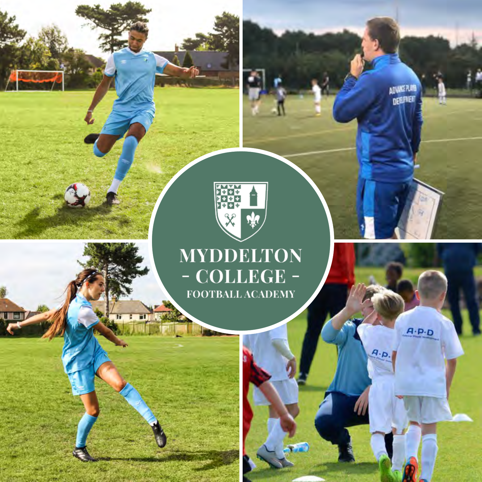

ADVANCE PLAYS<br>Deiserer

 $A \cdot P \cdot D$ 

 $A.p.$ 

#### **MYDDELTON** - COLLEGE -FOOTBALL ACADEMY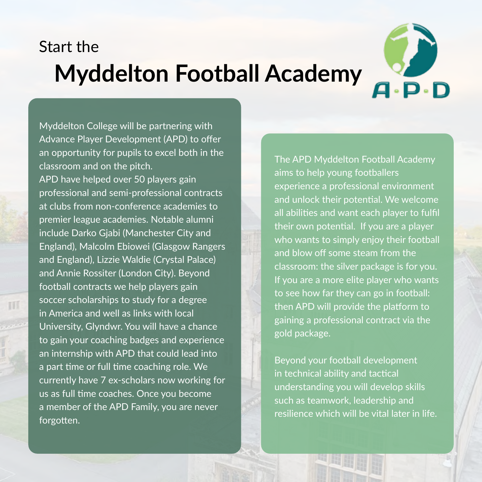## **Myddelton Football Academy** Start the



Myddelton College will be partnering with Advance Player Development (APD) to offer an opportunity for pupils to excel both in the classroom and on the pitch.

APD have helped over 50 players gain professional and semi-professional contracts at clubs from non-conference academies to premier league academies. Notable alumni include Darko Gjabi (Manchester City and England), Malcolm Ebiowei (Glasgow Rangers and England), Lizzie Waldie (Crystal Palace) and Annie Rossiter (London City). Beyond football contracts we help players gain soccer scholarships to study for a degree in America and well as links with local University, Glyndwr. You will have a chance to gain your coaching badges and experience an internship with APD that could lead into a part time or full time coaching role. We currently have 7 ex-scholars now working for us as full time coaches. Once you become a member of the APD Family, you are never forgotten.

III

The APD Myddelton Football Academy aims to help young footballers experience a professional environment and unlock their potential. We welcome all abilities and want each player to fulfil their own potential. If you are a player who wants to simply enjoy their football and blow off some steam from the classroom: the silver package is for you. If you are a more elite player who wants to see how far they can go in football: then APD will provide the platform to gaining a professional contract via the gold package.

Beyond your football development in technical ability and tactical understanding you will develop skills such as teamwork, leadership and resilience which will be vital later in life.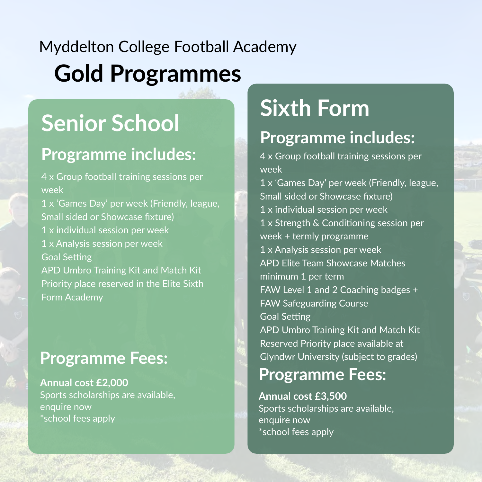# **Gold Programmes** Myddelton College Football Academy

## **Senior School**

### **Programme includes:**

4 x Group football training sessions per week 1 x 'Games Day' per week (Friendly, league, Small sided or Showcase fixture) 1 x individual session per week

1 x Analysis session per week

Goal Setting

APD Umbro Training Kit and Match Kit Priority place reserved in the Elite Sixth Form Academy

### **Programme Fees:**

**Annual cost £2,000** Sports scholarships are available, enquire now \*school fees apply

# **Sixth Form**

### **Programme includes:**

4 x Group football training sessions per week 1 x 'Games Day' per week (Friendly, league, Small sided or Showcase fixture) 1 x individual session per week 1 x Strength & Conditioning session per week + termly programme 1 x Analysis session per week APD Elite Team Showcase Matches minimum 1 per term FAW Level 1 and 2 Coaching badges + FAW Safeguarding Course Goal Setting APD Umbro Training Kit and Match Kit Reserved Priority place available at Glyndwr University (subject to grades)

### **Programme Fees:**

**Annual cost £3,500** Sports scholarships are available, enquire now \*school fees apply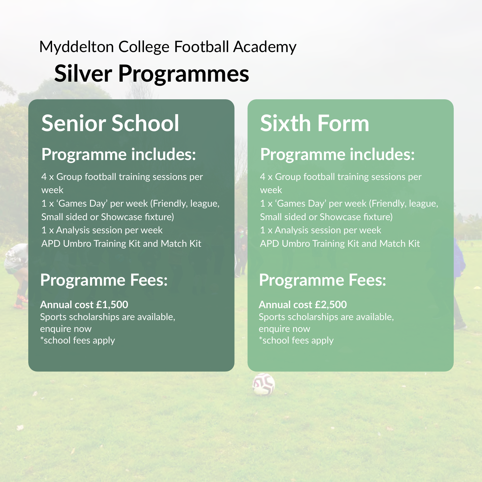### **Silver Programmes** Myddelton College Football Academy

## **Senior School**

### **Programme includes:**

4 x Group football training sessions per week 1 x 'Games Day' per week (Friendly, league, Small sided or Showcase fixture) 1 x Analysis session per week APD Umbro Training Kit and Match Kit

#### **Programme Fees:**

**Annual cost £1,500** Sports scholarships are available, enquire now \*school fees apply

# **Sixth Form**

### **Programme includes:**

4 x Group football training sessions per week 1 x 'Games Day' per week (Friendly, league,

Small sided or Showcase fixture) 1 x Analysis session per week APD Umbro Training Kit and Match Kit

### **Programme Fees:**

**Annual cost £2,500** Sports scholarships are available, enquire now \*school fees apply

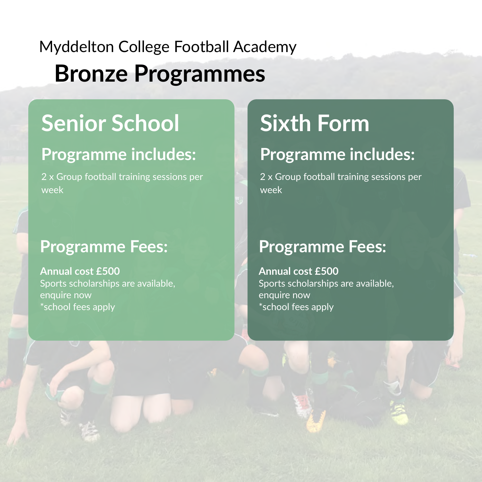## **Bronze Programmes** Myddelton College Football Academy

# **Senior School**

### **Programme includes:**

2 x Group football training sessions per week

#### **Programme Fees:**

**Annual cost £500** Sports scholarships are available, enquire now \*school fees apply

# **Sixth Form**

### **Programme includes:**

2 x Group football training sessions per week

#### **Programme Fees:**

**Annual cost £500** Sports scholarships are available, enquire now \*school fees apply